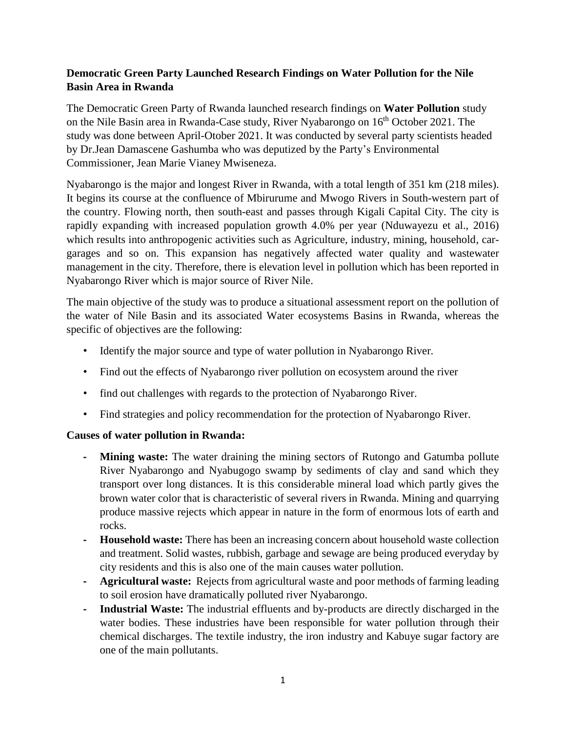# **Democratic Green Party Launched Research Findings on Water Pollution for the Nile Basin Area in Rwanda**

The Democratic Green Party of Rwanda launched research findings on **Water Pollution** study on the Nile Basin area in Rwanda-Case study, River Nyabarongo on 16<sup>th</sup> October 2021. The study was done between April-Otober 2021. It was conducted by several party scientists headed by Dr.Jean Damascene Gashumba who was deputized by the Party's Environmental Commissioner, Jean Marie Vianey Mwiseneza.

Nyabarongo is the major and longest River in Rwanda, with a total length of 351 km (218 miles). It begins its course at the confluence of Mbirurume and Mwogo Rivers in South-western part of the country. Flowing north, then south-east and passes through Kigali Capital City. The city is rapidly expanding with increased population growth 4.0% per year (Nduwayezu et al., 2016) which results into anthropogenic activities such as Agriculture, industry, mining, household, cargarages and so on. This expansion has negatively affected water quality and wastewater management in the city. Therefore, there is elevation level in pollution which has been reported in Nyabarongo River which is major source of River Nile.

The main objective of the study was to produce a situational assessment report on the pollution of the water of Nile Basin and its associated Water ecosystems Basins in Rwanda, whereas the specific of objectives are the following:

- Identify the major source and type of water pollution in Nyabarongo River.
- Find out the effects of Nyabarongo river pollution on ecosystem around the river
- find out challenges with regards to the protection of Nyabarongo River.
- Find strategies and policy recommendation for the protection of Nyabarongo River.

# **Causes of water pollution in Rwanda:**

- **Mining waste:** The water draining the mining sectors of Rutongo and Gatumba pollute River Nyabarongo and Nyabugogo swamp by sediments of clay and sand which they transport over long distances. It is this considerable mineral load which partly gives the brown water color that is characteristic of several rivers in Rwanda. Mining and quarrying produce massive rejects which appear in nature in the form of enormous lots of earth and rocks.
- **- Household waste:** There has been an increasing concern about household waste collection and treatment. Solid wastes, rubbish, garbage and sewage are being produced everyday by city residents and this is also one of the main causes water pollution.
- **- Agricultural waste:** Rejects from agricultural waste and poor methods of farming leading to soil erosion have dramatically polluted river Nyabarongo.
- **- Industrial Waste:** The industrial effluents and by-products are directly discharged in the water bodies. These industries have been responsible for water pollution through their chemical discharges. The textile industry, the iron industry and Kabuye sugar factory are one of the main pollutants.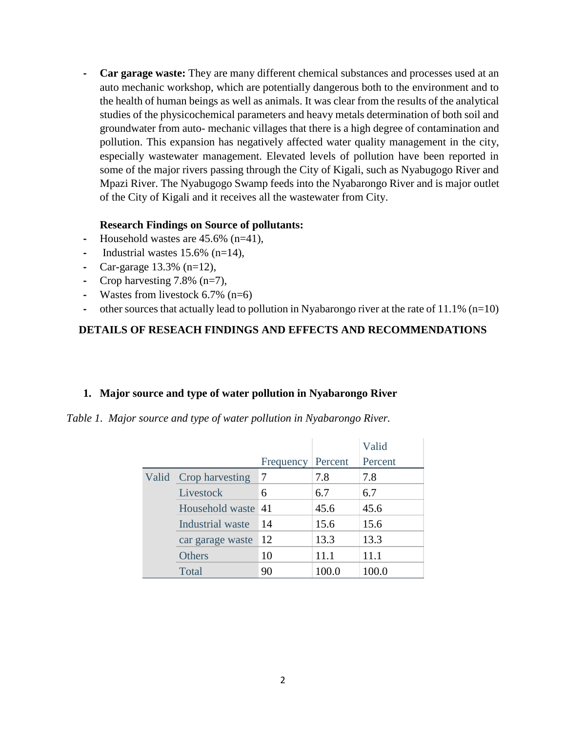**- Car garage waste:** They are many different chemical substances and processes used at an auto mechanic workshop, which are potentially dangerous both to the environment and to the health of human beings as well as animals. It was clear from the results of the analytical studies of the physicochemical parameters and heavy metals determination of both soil and groundwater from auto- mechanic villages that there is a high degree of contamination and pollution. This expansion has negatively affected water quality management in the city, especially wastewater management. Elevated levels of pollution have been reported in some of the major rivers passing through the City of Kigali, such as Nyabugogo River and Mpazi River. The Nyabugogo Swamp feeds into the Nyabarongo River and is major outlet of the City of Kigali and it receives all the wastewater from City.

#### **Research Findings on Source of pollutants:**

- **-** Household wastes are 45.6% (n=41),
- Industrial wastes  $15.6\%$  (n=14),
- **-** Car-garage 13.3% (n=12),
- **-** Crop harvesting 7.8% (n=7),
- **-** Wastes from livestock 6.7% (n=6)
- **-** other sources that actually lead to pollution in Nyabarongo river at the rate of 11.1% (n=10)

## **DETAILS OF RESEACH FINDINGS AND EFFECTS AND RECOMMENDATIONS**

#### **1. Major source and type of water pollution in Nyabarongo River**

*Table 1. Major source and type of water pollution in Nyabarongo River.*

|  |                       |           |         | Valid   |
|--|-----------------------|-----------|---------|---------|
|  |                       | Frequency | Percent | Percent |
|  | Valid Crop harvesting |           | 7.8     | 7.8     |
|  | Livestock             | 6         | 6.7     | 6.7     |
|  | Household waste 41    |           | 45.6    | 45.6    |
|  | Industrial waste      | 14        | 15.6    | 15.6    |
|  | car garage waste      | 12        | 13.3    | 13.3    |
|  | Others                | 10        | 11.1    | 11.1    |
|  | Total                 | 90        | 100.0   | 100.0   |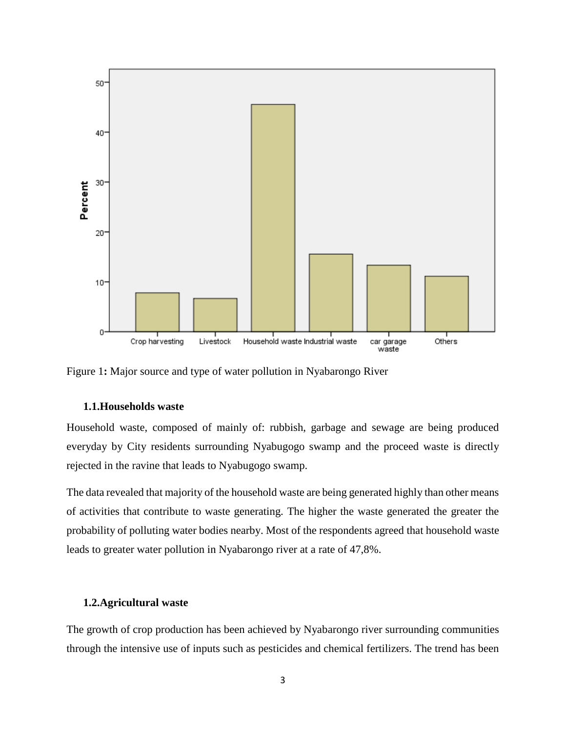

Figure 1**:** Major source and type of water pollution in Nyabarongo River

#### **1.1.Households waste**

Household waste, composed of mainly of: rubbish, garbage and sewage are being produced everyday by City residents surrounding Nyabugogo swamp and the proceed waste is directly rejected in the ravine that leads to Nyabugogo swamp.

The data revealed that majority of the household waste are being generated highly than other means of activities that contribute to waste generating. The higher the waste generated the greater the probability of polluting water bodies nearby. Most of the respondents agreed that household waste leads to greater water pollution in Nyabarongo river at a rate of 47,8%.

### **1.2.Agricultural waste**

The growth of crop production has been achieved by Nyabarongo river surrounding communities through the intensive use of inputs such as pesticides and chemical fertilizers. The trend has been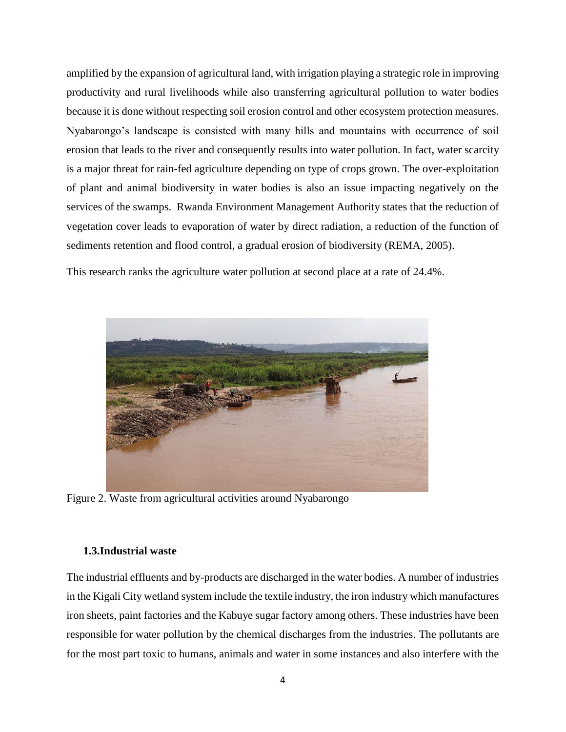amplified by the expansion of agricultural land, with irrigation playing a strategic role in improving productivity and rural livelihoods while also transferring agricultural pollution to water bodies because it is done without respecting soil erosion control and other ecosystem protection measures. Nyabarongo's landscape is consisted with many hills and mountains with occurrence of soil erosion that leads to the river and consequently results into water pollution. In fact, water scarcity is a major threat for rain-fed agriculture depending on type of crops grown. The over-exploitation of plant and animal biodiversity in water bodies is also an issue impacting negatively on the services of the swamps. Rwanda Environment Management Authority states that the reduction of vegetation cover leads to evaporation of water by direct radiation, a reduction of the function of sediments retention and flood control, a gradual erosion of biodiversity (REMA, 2005).

This research ranks the agriculture water pollution at second place at a rate of 24.4%.



Figure 2. Waste from agricultural activities around Nyabarongo

### **1.3.Industrial waste**

The industrial effluents and by-products are discharged in the water bodies. A number of industries in the Kigali City wetland system include the textile industry, the iron industry which manufactures iron sheets, paint factories and the Kabuye sugar factory among others. These industries have been responsible for water pollution by the chemical discharges from the industries. The pollutants are for the most part toxic to humans, animals and water in some instances and also interfere with the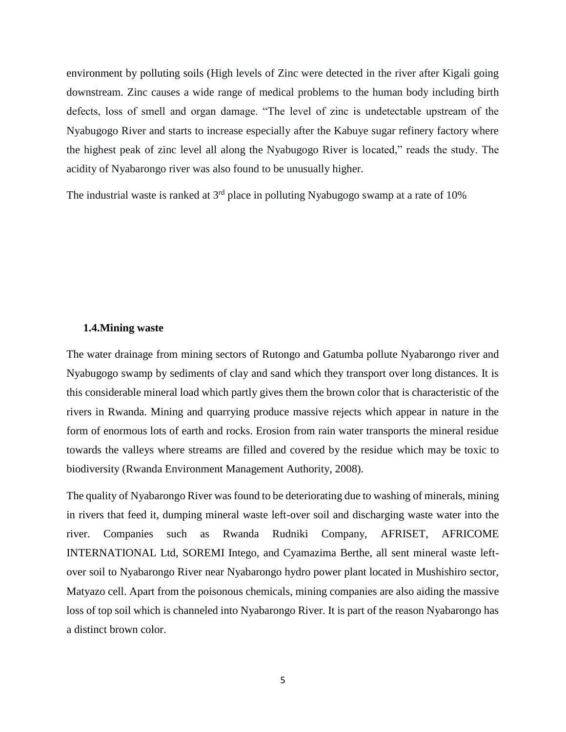environment by polluting soils (High levels of Zinc were detected in the river after Kigali going downstream. Zinc causes a wide range of medical problems to the human body including birth defects, loss of smell and organ damage. "The level of zinc is undetectable upstream of the Nyabugogo River and starts to increase especially after the Kabuye sugar refinery factory where the highest peak of zinc level all along the Nyabugogo River is located," reads the study. The acidity of Nyabarongo river was also found to be unusually higher.

The industrial waste is ranked at  $3<sup>rd</sup>$  place in polluting Nyabugogo swamp at a rate of 10%

#### **1.4.Mining waste**

The water drainage from mining sectors of Rutongo and Gatumba pollute Nyabarongo river and Nyabugogo swamp by sediments of clay and sand which they transport over long distances. It is this considerable mineral load which partly gives them the brown color that is characteristic of the rivers in Rwanda. Mining and quarrying produce massive rejects which appear in nature in the form of enormous lots of earth and rocks. Erosion from rain water transports the mineral residue towards the valleys where streams are filled and covered by the residue which may be toxic to biodiversity (Rwanda Environment Management Authority, 2008).

The quality of Nyabarongo River was found to be deteriorating due to washing of minerals, mining in rivers that feed it, dumping mineral waste left-over soil and discharging waste water into the river. Companies such as Rwanda Rudniki Company, AFRISET, AFRICOME INTERNATIONAL Ltd, SOREMI Intego, and Cyamazima Berthe, all sent mineral waste leftover soil to Nyabarongo River near Nyabarongo hydro power plant located in Mushishiro sector, Matyazo cell. Apart from the poisonous chemicals, mining companies are also aiding the massive loss of top soil which is channeled into Nyabarongo River. It is part of the reason Nyabarongo has a distinct brown color.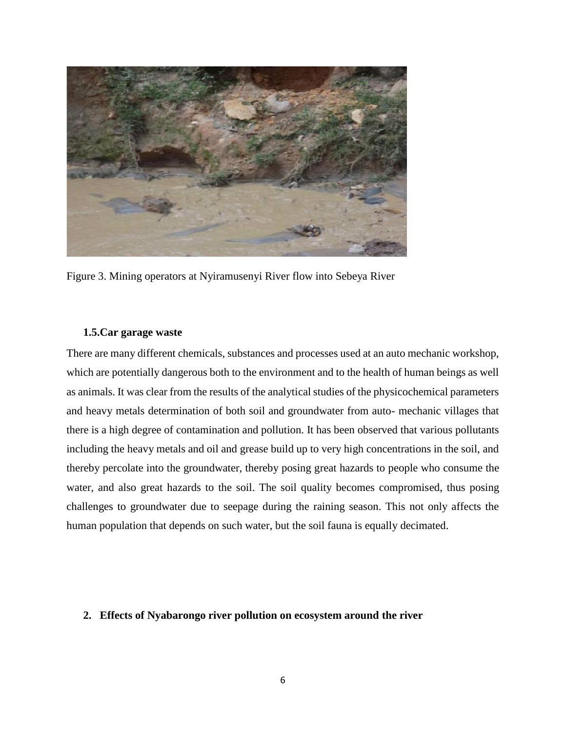

Figure 3. Mining operators at Nyiramusenyi River flow into Sebeya River

### **1.5.Car garage waste**

There are many different chemicals, substances and processes used at an auto mechanic workshop, which are potentially dangerous both to the environment and to the health of human beings as well as animals. It was clear from the results of the analytical studies of the physicochemical parameters and heavy metals determination of both soil and groundwater from auto- mechanic villages that there is a high degree of contamination and pollution. It has been observed that various pollutants including the heavy metals and oil and grease build up to very high concentrations in the soil, and thereby percolate into the groundwater, thereby posing great hazards to people who consume the water, and also great hazards to the soil. The soil quality becomes compromised, thus posing challenges to groundwater due to seepage during the raining season. This not only affects the human population that depends on such water, but the soil fauna is equally decimated.

#### **2. Effects of Nyabarongo river pollution on ecosystem around the river**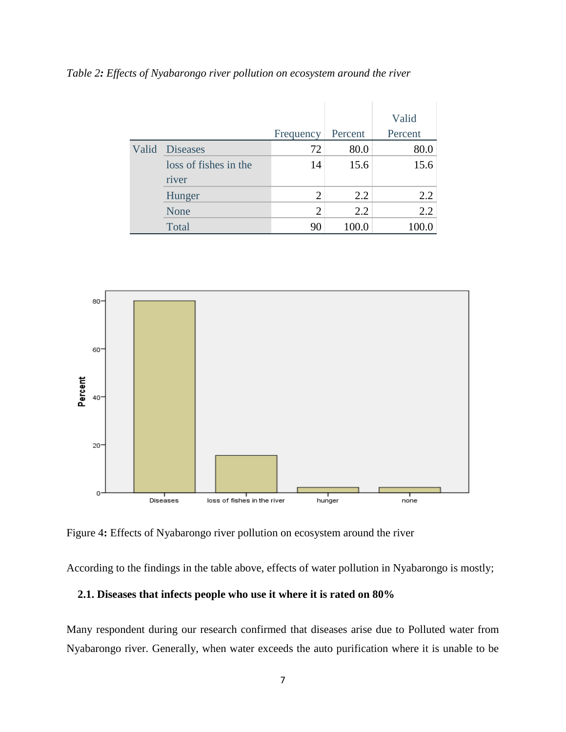|       |                                | Frequency | Percent | Valid<br>Percent |
|-------|--------------------------------|-----------|---------|------------------|
| Valid | <b>Diseases</b>                | 72        | 80.0    | 80.0             |
|       | loss of fishes in the<br>river | 14        | 15.6    | 15.6             |
|       | Hunger                         | 2         | 2.2     | 2.2              |
|       | None                           | 2         | 2.2     | 2.2              |
|       | Total                          | 90        | 100.0   | 100.0            |

*Table 2: Effects of Nyabarongo river pollution on ecosystem around the river*



Figure 4**:** Effects of Nyabarongo river pollution on ecosystem around the river

According to the findings in the table above, effects of water pollution in Nyabarongo is mostly;

### **2.1. Diseases that infects people who use it where it is rated on 80%**

Many respondent during our research confirmed that diseases arise due to Polluted water from Nyabarongo river. Generally, when water exceeds the auto purification where it is unable to be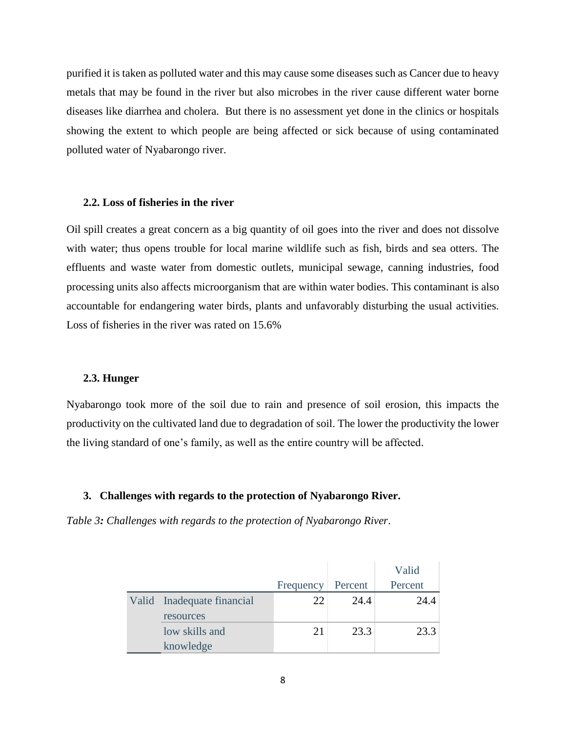purified it is taken as polluted water and this may cause some diseases such as Cancer due to heavy metals that may be found in the river but also microbes in the river cause different water borne diseases like diarrhea and cholera. But there is no assessment yet done in the clinics or hospitals showing the extent to which people are being affected or sick because of using contaminated polluted water of Nyabarongo river.

#### **2.2. Loss of fisheries in the river**

Oil spill creates a great concern as a big quantity of oil goes into the river and does not dissolve with water; thus opens trouble for local marine wildlife such as fish, birds and sea otters. The effluents and waste water from domestic outlets, municipal sewage, canning industries, food processing units also affects microorganism that are within water bodies. This contaminant is also accountable for endangering water birds, plants and unfavorably disturbing the usual activities. Loss of fisheries in the river was rated on 15.6%

#### **2.3. Hunger**

Nyabarongo took more of the soil due to rain and presence of soil erosion, this impacts the productivity on the cultivated land due to degradation of soil. The lower the productivity the lower the living standard of one's family, as well as the entire country will be affected.

#### **3. Challenges with regards to the protection of Nyabarongo River.**

*Table 3: Challenges with regards to the protection of Nyabarongo River*.

|                            |           |         | Valid   |
|----------------------------|-----------|---------|---------|
|                            | Frequency | Percent | Percent |
| Valid Inadequate financial | 22        | 24.4    | 24.4    |
| resources                  |           |         |         |
| low skills and             | 21        | 23.3    | 23.3    |
| knowledge                  |           |         |         |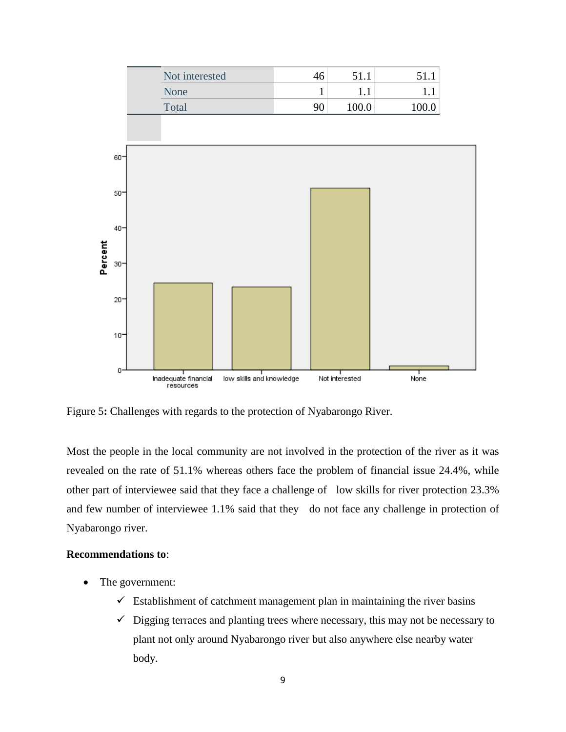

Figure 5**:** Challenges with regards to the protection of Nyabarongo River.

Most the people in the local community are not involved in the protection of the river as it was revealed on the rate of 51.1% whereas others face the problem of financial issue 24.4%, while other part of interviewee said that they face a challenge of low skills for river protection 23.3% and few number of interviewee 1.1% said that they do not face any challenge in protection of Nyabarongo river.

#### **Recommendations to**:

- The government:
	- $\checkmark$  Establishment of catchment management plan in maintaining the river basins
	- $\checkmark$  Digging terraces and planting trees where necessary, this may not be necessary to plant not only around Nyabarongo river but also anywhere else nearby water body.